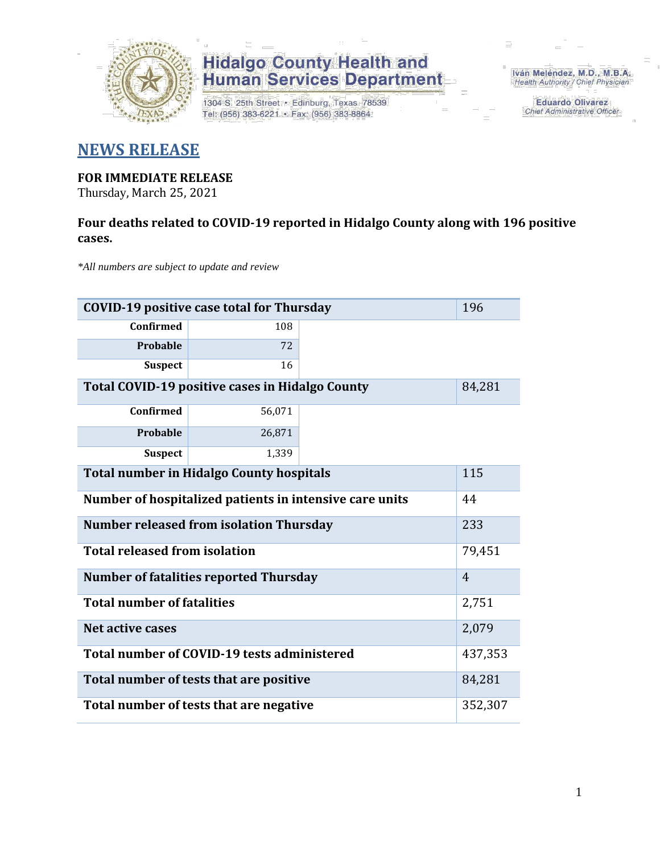

1304 S. 25th Street · Edinburg, Texas 78539 Tel: (956) 383-6221 · Fax: (956) 383-8864

Iván Meléndez, M.D., M.B.A. Health Authority / Chief Physician

> **Eduardo Olivarez** Chief Administrative Officer

### **NEWS RELEASE**

#### **FOR IMMEDIATE RELEASE**

Thursday, March 25, 2021

### **Four deaths related to COVID-19 reported in Hidalgo County along with 196 positive cases.**

*\*All numbers are subject to update and review*

| 196<br><b>COVID-19 positive case total for Thursday</b>          |                |  |  |  |  |  |  |
|------------------------------------------------------------------|----------------|--|--|--|--|--|--|
| <b>Confirmed</b>                                                 | 108            |  |  |  |  |  |  |
| Probable                                                         | 72             |  |  |  |  |  |  |
| <b>Suspect</b>                                                   | 16             |  |  |  |  |  |  |
| <b>Total COVID-19 positive cases in Hidalgo County</b><br>84,281 |                |  |  |  |  |  |  |
| Confirmed                                                        | 56,071         |  |  |  |  |  |  |
| Probable                                                         | 26,871         |  |  |  |  |  |  |
| <b>Suspect</b>                                                   | 1,339          |  |  |  |  |  |  |
| <b>Total number in Hidalgo County hospitals</b>                  | 115            |  |  |  |  |  |  |
| Number of hospitalized patients in intensive care units          | 44             |  |  |  |  |  |  |
| <b>Number released from isolation Thursday</b>                   | 233            |  |  |  |  |  |  |
| <b>Total released from isolation</b>                             | 79,451         |  |  |  |  |  |  |
| <b>Number of fatalities reported Thursday</b>                    | $\overline{4}$ |  |  |  |  |  |  |
| <b>Total number of fatalities</b>                                | 2,751          |  |  |  |  |  |  |
| Net active cases                                                 | 2,079          |  |  |  |  |  |  |
| Total number of COVID-19 tests administered                      | 437,353        |  |  |  |  |  |  |
| Total number of tests that are positive                          | 84,281         |  |  |  |  |  |  |
| Total number of tests that are negative                          | 352,307        |  |  |  |  |  |  |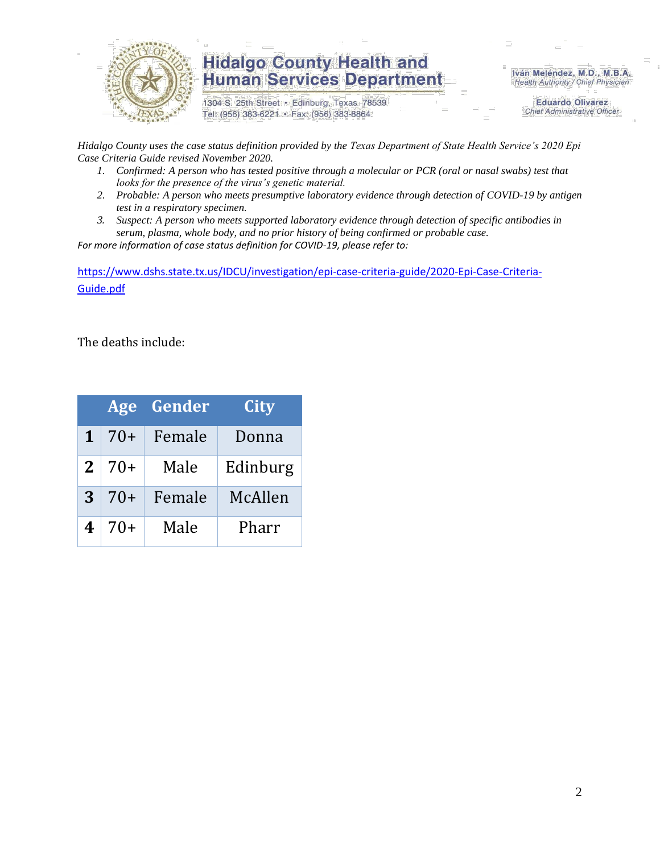

1304 S. 25th Street · Edinburg, Texas 78539 Tel: (956) 383-6221 · Fax: (956) 383-8864

Iván Meléndez, M.D., M.B.A. Health Authority / Chief Physician

> **Eduardo Olivarez Chief Administrative Officer**

*Hidalgo County uses the case status definition provided by the Texas Department of State Health Service's 2020 Epi Case Criteria Guide revised November 2020.*

- *1. Confirmed: A person who has tested positive through a molecular or PCR (oral or nasal swabs) test that looks for the presence of the virus's genetic material.*
- *2. Probable: A person who meets presumptive laboratory evidence through detection of COVID-19 by antigen test in a respiratory specimen.*
- *3. Suspect: A person who meets supported laboratory evidence through detection of specific antibodies in serum, plasma, whole body, and no prior history of being confirmed or probable case.*

*For more information of case status definition for COVID-19, please refer to:*

[https://www.dshs.state.tx.us/IDCU/investigation/epi-case-criteria-guide/2020-Epi-Case-Criteria-](https://www.dshs.state.tx.us/IDCU/investigation/epi-case-criteria-guide/2020-Epi-Case-Criteria-Guide.pdf)[Guide.pdf](https://www.dshs.state.tx.us/IDCU/investigation/epi-case-criteria-guide/2020-Epi-Case-Criteria-Guide.pdf)

The deaths include:

|              |       | Age Gender | City     |
|--------------|-------|------------|----------|
|              | $70+$ | Female     | Donna    |
| $\mathbf{2}$ | $70+$ | Male       | Edinburg |
| 3            | $70+$ | Female     | McAllen  |
|              | $70+$ | Male       | Pharr    |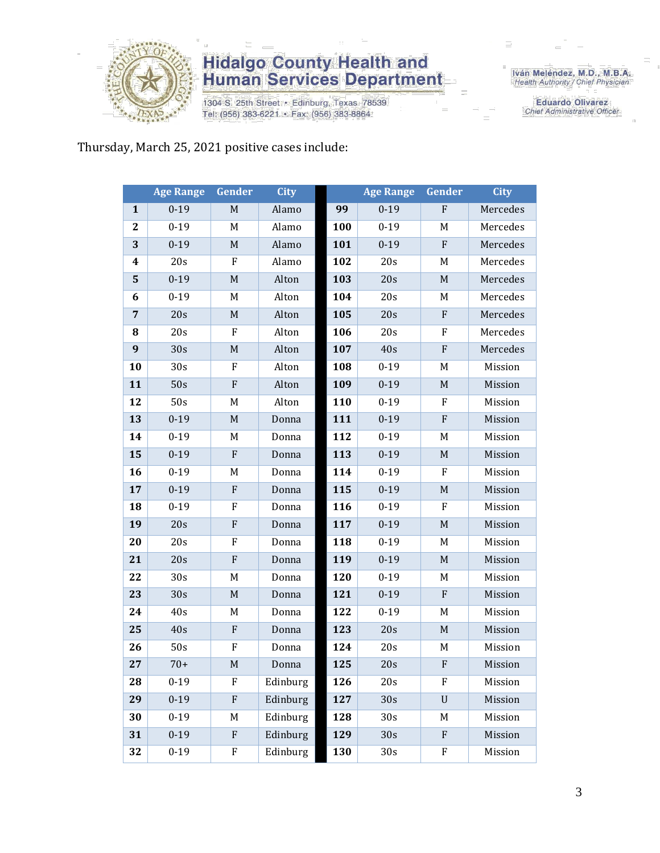

1304 S. 25th Street • Edinburg, Texas 78539<br>Tel: (956) 383-6221 • Fax: (956) 383-8864

Iván Meléndez, M.D., M.B.A.<br>Health Authority / Chief Physician

**Eduardo Olivarez** Chief Administrative Officer

### Thursday, March 25, 2021 positive cases include:

|                  | <b>Age Range</b> | Gender                    | <b>City</b> |     | <b>Age Range</b> | Gender      | <b>City</b> |
|------------------|------------------|---------------------------|-------------|-----|------------------|-------------|-------------|
| $\mathbf{1}$     | $0 - 19$         | $\mathbf M$               | Alamo       | 99  | $0 - 19$         | $\mathbf F$ | Mercedes    |
| $\boldsymbol{2}$ | $0 - 19$         | M                         | Alamo       | 100 | $0 - 19$         | M           | Mercedes    |
| 3                | $0 - 19$         | M                         | Alamo       | 101 | $0 - 19$         | $\mathbf F$ | Mercedes    |
| 4                | 20s              | F                         | Alamo       | 102 | 20s              | M           | Mercedes    |
| $\mathbf{5}$     | $0 - 19$         | $\mathbf M$               | Alton       | 103 | 20s              | $\mathbf M$ | Mercedes    |
| 6                | $0 - 19$         | M                         | Alton       | 104 | 20s              | M           | Mercedes    |
| $\overline{7}$   | 20s              | $\mathbf M$               | Alton       | 105 | 20s              | ${\bf F}$   | Mercedes    |
| 8                | 20s              | ${\bf F}$                 | Alton       | 106 | 20s              | ${\bf F}$   | Mercedes    |
| $\boldsymbol{9}$ | 30s              | $\mathbf M$               | Alton       | 107 | 40s              | ${\bf F}$   | Mercedes    |
| 10               | 30s              | $\rm F$                   | Alton       | 108 | $0 - 19$         | M           | Mission     |
| 11               | 50s              | $\mathbf F$               | Alton       | 109 | $0 - 19$         | $\mathbf M$ | Mission     |
| 12               | 50s              | M                         | Alton       | 110 | $0 - 19$         | ${\bf F}$   | Mission     |
| 13               | $0 - 19$         | $\mathbf M$               | Donna       | 111 | $0 - 19$         | ${\bf F}$   | Mission     |
| 14               | $0 - 19$         | M                         | Donna       | 112 | $0 - 19$         | M           | Mission     |
| 15               | $0 - 19$         | ${\bf F}$                 | Donna       | 113 | $0 - 19$         | $\mathbf M$ | Mission     |
| 16               | $0 - 19$         | $\mathbf M$               | Donna       | 114 | $0-19$           | F           | Mission     |
| 17               | $0 - 19$         | ${\bf F}$                 | Donna       | 115 | $0 - 19$         | $\mathbf M$ | Mission     |
| 18               | $0 - 19$         | $\rm F$                   | Donna       | 116 | $0 - 19$         | F           | Mission     |
| 19               | 20s              | ${\bf F}$                 | Donna       | 117 | $0 - 19$         | $\mathbf M$ | Mission     |
| 20               | 20s              | F                         | Donna       | 118 | $0 - 19$         | M           | Mission     |
| 21               | 20s              | ${\bf F}$                 | Donna       | 119 | $0 - 19$         | $\mathbf M$ | Mission     |
| 22               | 30s              | M                         | Donna       | 120 | $0 - 19$         | M           | Mission     |
| 23               | 30s              | $\mathbf M$               | Donna       | 121 | $0 - 19$         | ${\bf F}$   | Mission     |
| 24               | 40s              | M                         | Donna       | 122 | $0 - 19$         | M           | Mission     |
| 25               | 40s              | $\mathbf F$               | Donna       | 123 | 20s              | M           | Mission     |
| 26               | 50s              | $\boldsymbol{\mathrm{F}}$ | Donna       | 124 | 20s              | M           | Mission     |
| 27               | $70+$            | M                         | Donna       | 125 | 20s              | F           | Mission     |
| 28               | $0-19$           | F                         | Edinburg    | 126 | 20s              | F           | Mission     |
| 29               | $0 - 19$         | ${\bf F}$                 | Edinburg    | 127 | 30s              | $\mathbf U$ | Mission     |
| 30               | $0 - 19$         | M                         | Edinburg    | 128 | 30s              | M           | Mission     |
| 31               | $0 - 19$         | ${\bf F}$                 | Edinburg    | 129 | 30s              | ${\bf F}$   | Mission     |
| 32               | $0 - 19$         | F                         | Edinburg    | 130 | 30 <sub>s</sub>  | F           | Mission     |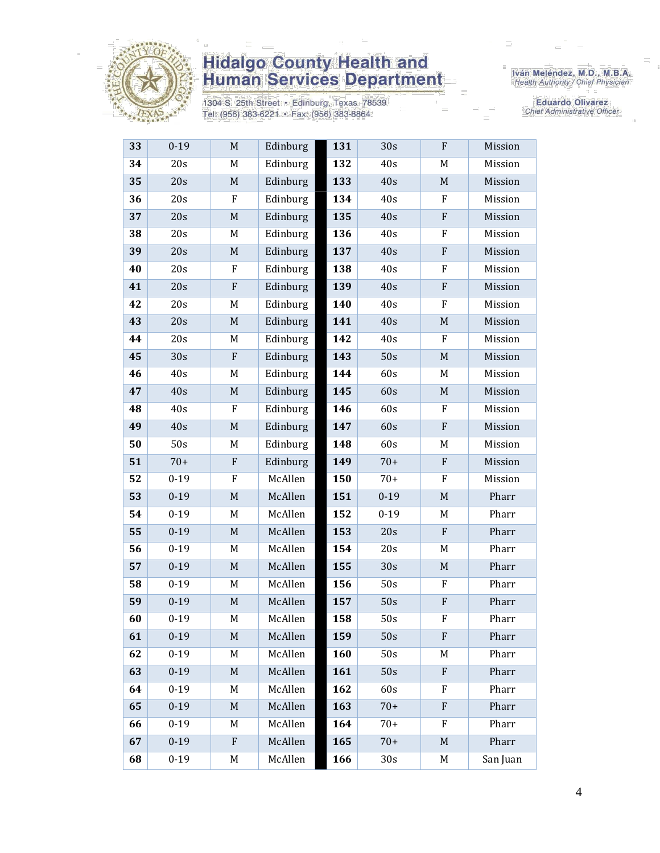

1304 S. 25th Street · Edinburg, Texas 78539 Tel: (956) 383-6221 · Fax: (956) 383-8864

Iván Meléndez, M.D., M.B.A.<br>Health Authority / Chief Physician

Eduardo Olivarez Chief Administrative Officer

| 33 | $0-19$   | M                         | Edinburg | 131 | 30s             | F                         | Mission  |
|----|----------|---------------------------|----------|-----|-----------------|---------------------------|----------|
| 34 | 20s      | M                         | Edinburg | 132 | 40s             | M                         | Mission  |
| 35 | 20s      | $\mathbf M$               | Edinburg | 133 | 40s             | $\mathbf M$               | Mission  |
| 36 | 20s      | F                         | Edinburg | 134 | 40s             | F                         | Mission  |
| 37 | 20s      | $\mathbf M$               | Edinburg | 135 | 40s             | ${\bf F}$                 | Mission  |
| 38 | 20s      | M                         | Edinburg | 136 | 40s             | $\rm F$                   | Mission  |
| 39 | 20s      | $\mathbf M$               | Edinburg | 137 | 40s             | ${\bf F}$                 | Mission  |
| 40 | 20s      | F                         | Edinburg | 138 | 40s             | F                         | Mission  |
| 41 | 20s      | ${\bf F}$                 | Edinburg | 139 | 40s             | ${\bf F}$                 | Mission  |
| 42 | 20s      | M                         | Edinburg | 140 | 40s             | $\rm F$                   | Mission  |
| 43 | 20s      | $\mathbf M$               | Edinburg | 141 | 40s             | $\mathbf M$               | Mission  |
| 44 | 20s      | M                         | Edinburg | 142 | 40s             | $\rm F$                   | Mission  |
| 45 | 30s      | $\mathbf F$               | Edinburg | 143 | 50s             | $\mathbf M$               | Mission  |
| 46 | 40s      | M                         | Edinburg | 144 | 60s             | M                         | Mission  |
| 47 | 40s      | $\mathbf M$               | Edinburg | 145 | 60s             | $\mathbf M$               | Mission  |
| 48 | 40s      | ${\bf F}$                 | Edinburg | 146 | 60s             | F                         | Mission  |
| 49 | 40s      | $\mathbf M$               | Edinburg | 147 | 60s             | ${\bf F}$                 | Mission  |
| 50 | 50s      | M                         | Edinburg | 148 | 60s             | M                         | Mission  |
| 51 | $70+$    | ${\bf F}$                 | Edinburg | 149 | $70+$           | $\boldsymbol{\mathrm{F}}$ | Mission  |
| 52 | $0 - 19$ | $\boldsymbol{\mathrm{F}}$ | McAllen  | 150 | $70+$           | $\mathbf F$               | Mission  |
| 53 | $0 - 19$ | $\mathbf M$               | McAllen  | 151 | $0 - 19$        | $\mathbf M$               | Pharr    |
| 54 | $0 - 19$ | M                         | McAllen  | 152 | $0 - 19$        | M                         | Pharr    |
| 55 | $0 - 19$ | $\mathbf M$               | McAllen  | 153 | 20s             | ${\bf F}$                 | Pharr    |
| 56 | $0 - 19$ | M                         | McAllen  | 154 | 20s             | M                         | Pharr    |
| 57 | $0 - 19$ | $\mathbf M$               | McAllen  | 155 | 30s             | $\mathbf M$               | Pharr    |
| 58 | $0 - 19$ | M                         | McAllen  | 156 | 50s             | F                         | Pharr    |
| 59 | $0 - 19$ | $\mathbf M$               | McAllen  | 157 | 50s             | ${\bf F}$                 | Pharr    |
| 60 | $0 - 19$ | M                         | McAllen  | 158 | 50s             | $\boldsymbol{\mathrm{F}}$ | Pharr    |
| 61 | $0 - 19$ | M                         | McAllen  | 159 | 50s             | $\mathbf F$               | Pharr    |
| 62 | $0 - 19$ | M                         | McAllen  | 160 | 50s             | M                         | Pharr    |
| 63 | $0 - 19$ | $\mathbf M$               | McAllen  | 161 | 50s             | ${\bf F}$                 | Pharr    |
| 64 | $0 - 19$ | M                         | McAllen  | 162 | 60s             | F                         | Pharr    |
| 65 | $0 - 19$ | M                         | McAllen  | 163 | $70+$           | $\boldsymbol{\mathrm{F}}$ | Pharr    |
| 66 | $0 - 19$ | M                         | McAllen  | 164 | $70+$           | F                         | Pharr    |
| 67 | $0 - 19$ | ${\bf F}$                 | McAllen  | 165 | $70+$           | M                         | Pharr    |
| 68 | $0 - 19$ | M                         | McAllen  | 166 | 30 <sub>s</sub> | M                         | San Juan |